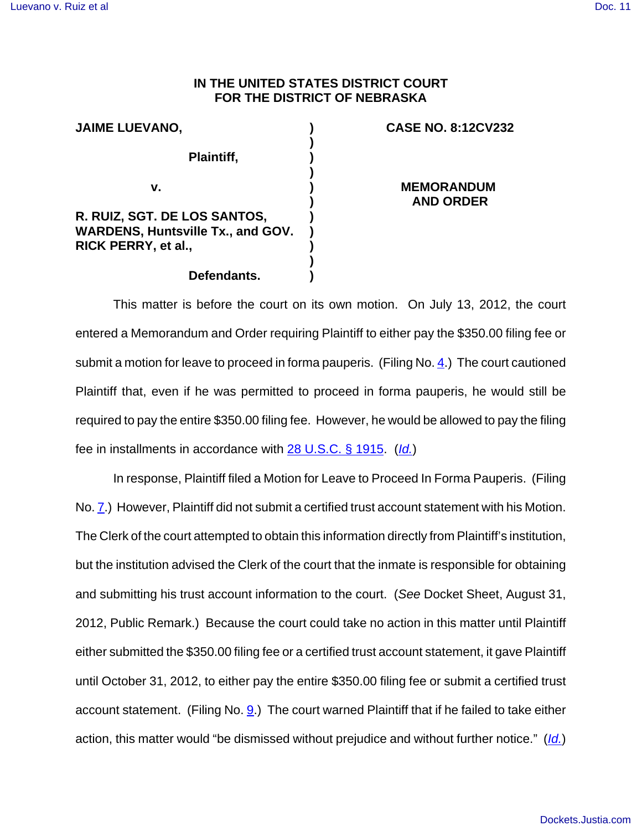## **IN THE UNITED STATES DISTRICT COURT FOR THE DISTRICT OF NEBRASKA**

| <b>JAIME LUEVANO,</b>                    |  |
|------------------------------------------|--|
| Plaintiff,                               |  |
| v.                                       |  |
| R. RUIZ, SGT. DE LOS SANTOS,             |  |
| <b>WARDENS, Huntsville Tx., and GOV.</b> |  |
| RICK PERRY, et al.,                      |  |
| Defendants.                              |  |

## **CASE NO. 8:12CV232**

**MEMORANDUM AND ORDER**

This matter is before the court on its own motion. On July 13, 2012, the court entered a Memorandum and Order requiring Plaintiff to either pay the \$350.00 filing fee or submit a motion for leave to proceed in forma pauperis. (Filing No. 4.) The court cautioned Plaintiff that, even if he was permitted to proceed in forma pauperis, he would still be required to pay the entire \$350.00 filing fee. However, he would be allowed to pay the filing fee in installments in accordance with 28 U.S.C. § 1915. (Id.)

In response, Plaintiff filed a Motion for Leave to Proceed In Forma Pauperis. (Filing No. 7.) However, Plaintiff did not submit a certified trust account statement with his Motion. The Clerk of the court attempted to obtain this information directly from Plaintiff's institution, but the institution advised the Clerk of the court that the inmate is responsible for obtaining and submitting his trust account information to the court. (See Docket Sheet, August 31, 2012, Public Remark.) Because the court could take no action in this matter until Plaintiff either submitted the \$350.00 filing fee or a certified trust account statement, it gave Plaintiff until October 31, 2012, to either pay the entire \$350.00 filing fee or submit a certified trust account statement. (Filing No. 9.) The court warned Plaintiff that if he failed to take either action, this matter would "be dismissed without prejudice and without further notice." (Id.)